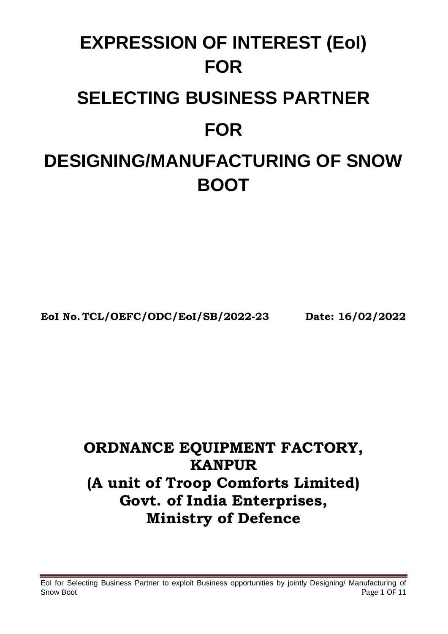# **EXPRESSION OF INTEREST (EoI) FOR SELECTING BUSINESS PARTNER FOR DESIGNING/MANUFACTURING OF SNOW BOOT**

**EoI No. TCL/OEFC/ODC/EoI/SB/2022-23 Date: 16/02/2022**

## **ORDNANCE EQUIPMENT FACTORY, KANPUR (A unit of Troop Comforts Limited) Govt. of India Enterprises, Ministry of Defence**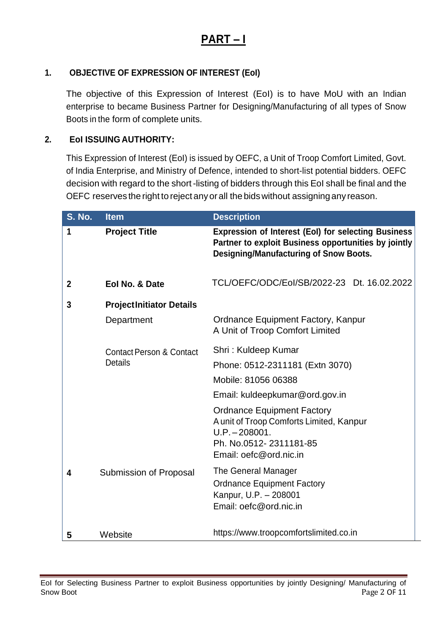## **PART – I**

#### **1. OBJECTIVE OF EXPRESSION OF INTEREST (EoI)**

The objective of this Expression of Interest (EoI) is to have MoU with an Indian enterprise to became Business Partner for Designing/Manufacturing of all types of Snow Boots in the form of complete units.

#### **2. EoI ISSUING AUTHORITY:**

This Expression of Interest (EoI) is issued by OEFC, a Unit of Troop Comfort Limited, Govt. of India Enterprise, and Ministry of Defence, intended to short-list potential bidders. OEFC decision with regard to the short-listing of bidders through this EoI shall be final and the OEFC reserves the right to reject anyorall the bidswithout assigningany reason.

| <b>S. No.</b> | <b>Item</b>                                           | <b>Description</b>                                                                                                                                                  |  |  |
|---------------|-------------------------------------------------------|---------------------------------------------------------------------------------------------------------------------------------------------------------------------|--|--|
| 1             | <b>Project Title</b>                                  | <b>Expression of Interest (EoI) for selecting Business</b><br>Partner to exploit Business opportunities by jointly<br><b>Designing/Manufacturing of Snow Boots.</b> |  |  |
| $\mathbf 2$   | Eol No. & Date                                        | TCL/OEFC/ODC/Eol/SB/2022-23 Dt. 16.02.2022                                                                                                                          |  |  |
| 3             | <b>ProjectInitiator Details</b>                       |                                                                                                                                                                     |  |  |
|               | Department                                            | <b>Ordnance Equipment Factory, Kanpur</b><br>A Unit of Troop Comfort Limited                                                                                        |  |  |
|               | <b>Contact Person &amp; Contact</b><br><b>Details</b> | Shri: Kuldeep Kumar                                                                                                                                                 |  |  |
|               |                                                       | Phone: 0512-2311181 (Extn 3070)                                                                                                                                     |  |  |
|               |                                                       | Mobile: 81056 06388                                                                                                                                                 |  |  |
|               |                                                       | Email: kuldeepkumar@ord.gov.in                                                                                                                                      |  |  |
|               |                                                       | <b>Ordnance Equipment Factory</b><br>A unit of Troop Comforts Limited, Kanpur<br>$U.P. - 208001.$<br>Ph. No.0512-2311181-85<br>Email: oefc@ord.nic.in               |  |  |
| 4             | Submission of Proposal                                | The General Manager<br><b>Ordnance Equipment Factory</b><br>Kanpur, U.P. - 208001<br>Email: oefc@ord.nic.in                                                         |  |  |
| 5             | Website                                               | https://www.troopcomfortslimited.co.in                                                                                                                              |  |  |

EoI for Selecting Business Partner to exploit Business opportunities by jointly Designing/ Manufacturing of Snow Boot Page 2 OF 11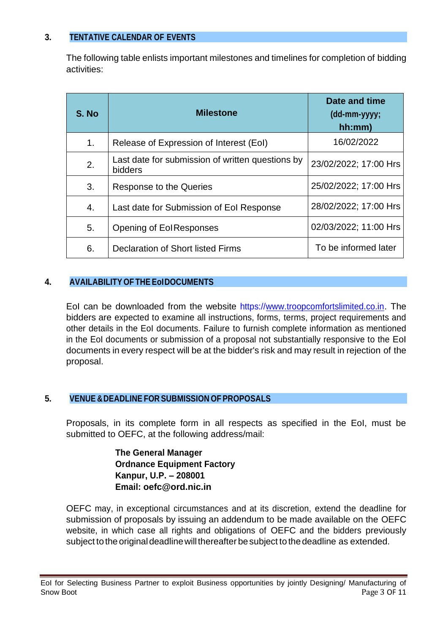#### **3. TENTATIVE CALENDAR OF EVENTS**

The following table enlists important milestones and timelines for completion of bidding activities:

| S. No | <b>Milestone</b>                                            | Date and time<br>(dd-mm-yyyy;<br>hh:mm) |
|-------|-------------------------------------------------------------|-----------------------------------------|
| 1.    | Release of Expression of Interest (EoI)                     | 16/02/2022                              |
| 2.    | Last date for submission of written questions by<br>bidders | 23/02/2022; 17:00 Hrs                   |
| 3.    | Response to the Queries                                     | 25/02/2022; 17:00 Hrs                   |
| 4.    | Last date for Submission of Eol Response                    | 28/02/2022; 17:00 Hrs                   |
| 5.    | Opening of EolResponses                                     | 02/03/2022; 11:00 Hrs                   |
| 6.    | Declaration of Short listed Firms                           | To be informed later                    |

#### **4. AVAILABILITY OF THE EoIDOCUMENTS**

EoI can be downloaded from the website https://www.troopcomfortslimited.co.in. The bidders are expected to examine all instructions, forms, terms, project requirements and other details in the EoI documents. Failure to furnish complete information as mentioned in the EoI documents or submission of a proposal not substantially responsive to the EoI documents in every respect will be at the bidder's risk and may result in rejection of the proposal.

#### **5. VENUE &DEADLINE FOR SUBMISSION OF PROPOSALS**

Proposals, in its complete form in all respects as specified in the EoI, must be submitted to OEFC, at the following address/mail:

> **The General Manager Ordnance Equipment Factory Kanpur, U.P. – 208001 Email: oefc@ord.nic.in**

OEFC may, in exceptional circumstances and at its discretion, extend the deadline for submission of proposals by issuing an addendum to be made available on the OEFC website, in which case all rights and obligations of OEFC and the bidders previously subject to the original deadline will thereafter be subject to the deadline as extended.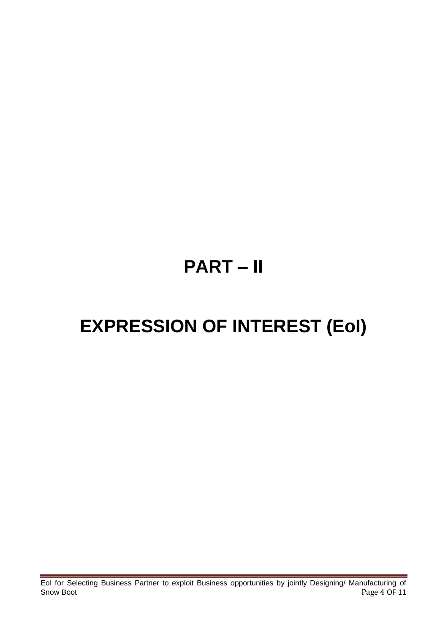## **PART – II**

## **EXPRESSION OF INTEREST (EoI)**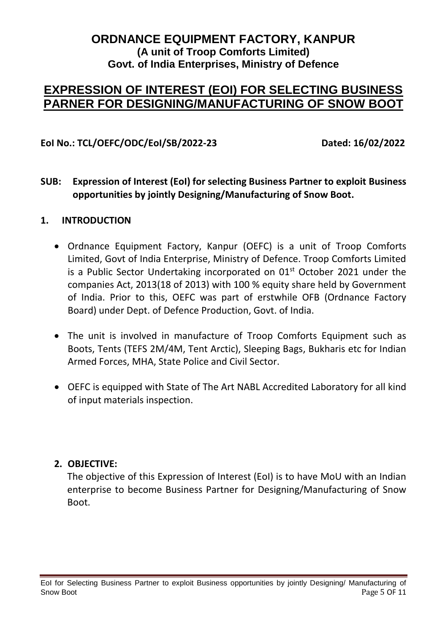#### **ORDNANCE EQUIPMENT FACTORY, KANPUR (A unit of Troop Comforts Limited) Govt. of India Enterprises, Ministry of Defence**

### **EXPRESSION OF INTEREST (EOI) FOR SELECTING BUSINESS PARNER FOR DESIGNING/MANUFACTURING OF SNOW BOOT**

#### **EoI No.: TCL/OEFC/ODC/EoI/SB/2022-23 Dated: 16/02/2022**

#### **SUB: Expression of Interest (EoI) for selecting Business Partner to exploit Business opportunities by jointly Designing/Manufacturing of Snow Boot.**

#### **1. INTRODUCTION**

- Ordnance Equipment Factory, Kanpur (OEFC) is a unit of Troop Comforts Limited, Govt of India Enterprise, Ministry of Defence. Troop Comforts Limited is a Public Sector Undertaking incorporated on  $01<sup>st</sup>$  October 2021 under the companies Act, 2013(18 of 2013) with 100 % equity share held by Government of India. Prior to this, OEFC was part of erstwhile OFB (Ordnance Factory Board) under Dept. of Defence Production, Govt. of India.
- The unit is involved in manufacture of Troop Comforts Equipment such as Boots, Tents (TEFS 2M/4M, Tent Arctic), Sleeping Bags, Bukharis etc for Indian Armed Forces, MHA, State Police and Civil Sector.
- OEFC is equipped with State of The Art NABL Accredited Laboratory for all kind of input materials inspection.

#### **2. OBJECTIVE:**

The objective of this Expression of Interest (EoI) is to have MoU with an Indian enterprise to become Business Partner for Designing/Manufacturing of Snow Boot.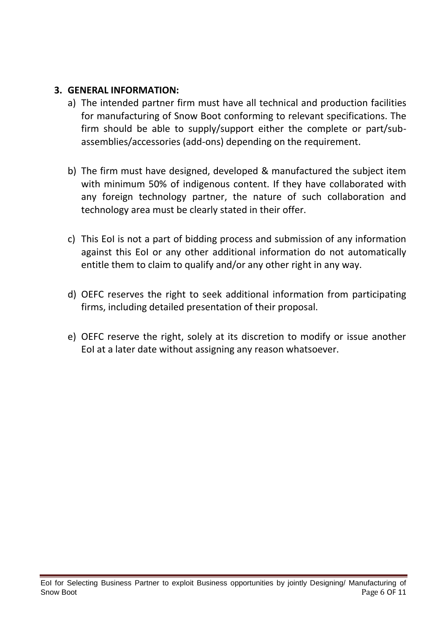#### **3. GENERAL INFORMATION:**

- a) The intended partner firm must have all technical and production facilities for manufacturing of Snow Boot conforming to relevant specifications. The firm should be able to supply/support either the complete or part/subassemblies/accessories (add-ons) depending on the requirement.
- b) The firm must have designed, developed & manufactured the subject item with minimum 50% of indigenous content. If they have collaborated with any foreign technology partner, the nature of such collaboration and technology area must be clearly stated in their offer.
- c) This EoI is not a part of bidding process and submission of any information against this EoI or any other additional information do not automatically entitle them to claim to qualify and/or any other right in any way.
- d) OEFC reserves the right to seek additional information from participating firms, including detailed presentation of their proposal.
- e) OEFC reserve the right, solely at its discretion to modify or issue another EoI at a later date without assigning any reason whatsoever.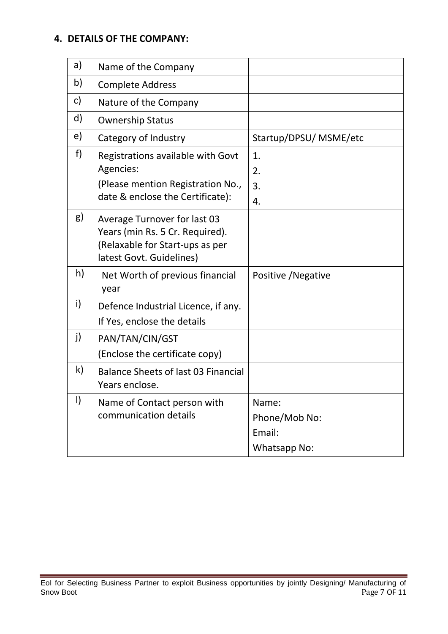#### **4. DETAILS OF THE COMPANY:**

| a)           |                                                                                                                                |                                                  |
|--------------|--------------------------------------------------------------------------------------------------------------------------------|--------------------------------------------------|
|              | Name of the Company                                                                                                            |                                                  |
| b)           | <b>Complete Address</b>                                                                                                        |                                                  |
| C)           | Nature of the Company                                                                                                          |                                                  |
| d)           | <b>Ownership Status</b>                                                                                                        |                                                  |
| e)           | Category of Industry                                                                                                           | Startup/DPSU/ MSME/etc                           |
| f)           | Registrations available with Govt<br>Agencies:<br>(Please mention Registration No.,<br>date & enclose the Certificate):        | 1.<br>2.<br>3.<br>4.                             |
| g)           | Average Turnover for last 03<br>Years (min Rs. 5 Cr. Required).<br>(Relaxable for Start-ups as per<br>latest Govt. Guidelines) |                                                  |
| h)           | Net Worth of previous financial<br>year                                                                                        | Positive / Negative                              |
| i)           | Defence Industrial Licence, if any.<br>If Yes, enclose the details                                                             |                                                  |
| j)           | PAN/TAN/CIN/GST<br>(Enclose the certificate copy)                                                                              |                                                  |
| $\mathsf{k}$ | Balance Sheets of last 03 Financial<br>Years enclose.                                                                          |                                                  |
| $\vert$      | Name of Contact person with<br>communication details                                                                           | Name:<br>Phone/Mob No:<br>Email:<br>Whatsapp No: |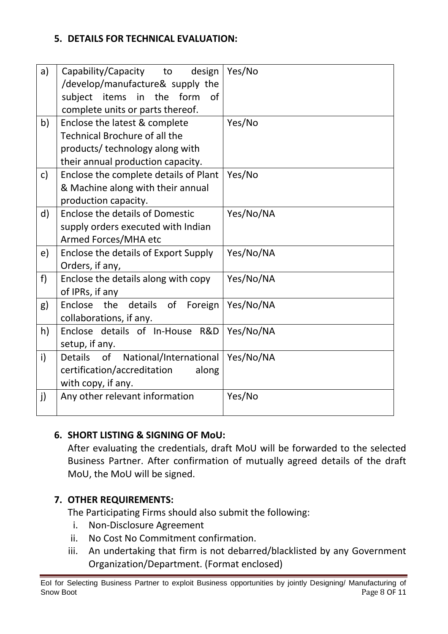#### **5. DETAILS FOR TECHNICAL EVALUATION:**

| a)            | Capability/Capacity to<br>design<br>/develop/manufacture& supply the<br>subject items in the<br>form<br>0f                             | Yes/No    |
|---------------|----------------------------------------------------------------------------------------------------------------------------------------|-----------|
|               | complete units or parts thereof.                                                                                                       |           |
| b)            | Enclose the latest & complete<br>Technical Brochure of all the<br>products/ technology along with<br>their annual production capacity. | Yes/No    |
| $\mathsf{c})$ | Enclose the complete details of Plant<br>& Machine along with their annual<br>production capacity.                                     | Yes/No    |
| d)            | Enclose the details of Domestic<br>supply orders executed with Indian<br>Armed Forces/MHA etc                                          | Yes/No/NA |
| e)            | Enclose the details of Export Supply<br>Orders, if any,                                                                                | Yes/No/NA |
| f             | Enclose the details along with copy<br>of IPRs, if any                                                                                 | Yes/No/NA |
| g)            | Enclose the<br>details of Foreign<br>collaborations, if any.                                                                           | Yes/No/NA |
| h)            | Enclose details of In-House R&D<br>setup, if any.                                                                                      | Yes/No/NA |
| i)            | of<br>National/International<br><b>Details</b><br>certification/accreditation<br>along<br>with copy, if any.                           | Yes/No/NA |
| j)            | Any other relevant information                                                                                                         | Yes/No    |

#### **6. SHORT LISTING & SIGNING OF MoU:**

After evaluating the credentials, draft MoU will be forwarded to the selected Business Partner. After confirmation of mutually agreed details of the draft MoU, the MoU will be signed.

#### **7. OTHER REQUIREMENTS:**

The Participating Firms should also submit the following:

- i. Non-Disclosure Agreement
- ii. No Cost No Commitment confirmation.
- iii. An undertaking that firm is not debarred/blacklisted by any Government Organization/Department. (Format enclosed)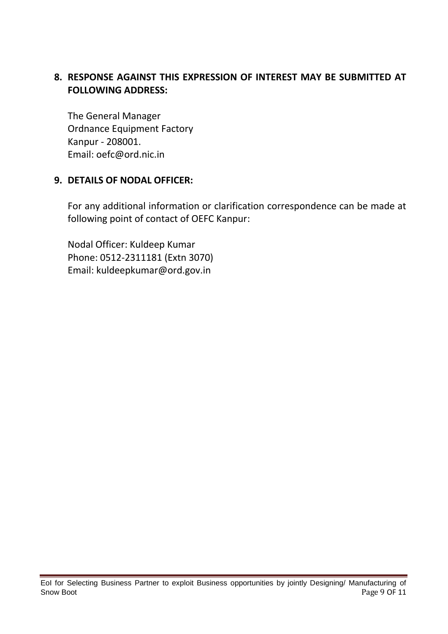#### **8. RESPONSE AGAINST THIS EXPRESSION OF INTEREST MAY BE SUBMITTED AT FOLLOWING ADDRESS:**

The General Manager Ordnance Equipment Factory Kanpur - 208001. Email: oefc@ord.nic.in

#### **9. DETAILS OF NODAL OFFICER:**

For any additional information or clarification correspondence can be made at following point of contact of OEFC Kanpur:

Nodal Officer: Kuldeep Kumar Phone: 0512-2311181 (Extn 3070) Email: kuldeepkumar@ord.gov.in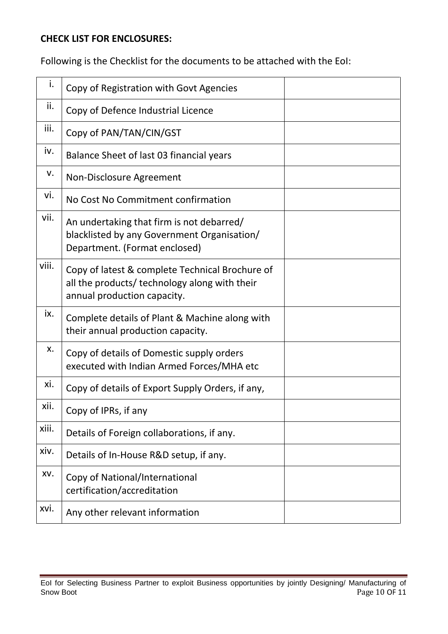#### **CHECK LIST FOR ENCLOSURES:**

Following is the Checklist for the documents to be attached with the EoI:

| i.    | Copy of Registration with Govt Agencies                                                                                         |  |
|-------|---------------------------------------------------------------------------------------------------------------------------------|--|
| ii.   | Copy of Defence Industrial Licence                                                                                              |  |
| iii.  | Copy of PAN/TAN/CIN/GST                                                                                                         |  |
| iv.   | Balance Sheet of last 03 financial years                                                                                        |  |
| v.    | Non-Disclosure Agreement                                                                                                        |  |
| vi.   | No Cost No Commitment confirmation                                                                                              |  |
| vii.  | An undertaking that firm is not debarred/<br>blacklisted by any Government Organisation/<br>Department. (Format enclosed)       |  |
| viii. | Copy of latest & complete Technical Brochure of<br>all the products/ technology along with their<br>annual production capacity. |  |
| ix.   | Complete details of Plant & Machine along with<br>their annual production capacity.                                             |  |
| х.    | Copy of details of Domestic supply orders<br>executed with Indian Armed Forces/MHA etc                                          |  |
| xi.   | Copy of details of Export Supply Orders, if any,                                                                                |  |
| xii.  | Copy of IPRs, if any                                                                                                            |  |
| xiii. | Details of Foreign collaborations, if any.                                                                                      |  |
| xiv.  | Details of In-House R&D setup, if any.                                                                                          |  |
| XV.   | Copy of National/International<br>certification/accreditation                                                                   |  |
| xvi.  | Any other relevant information                                                                                                  |  |